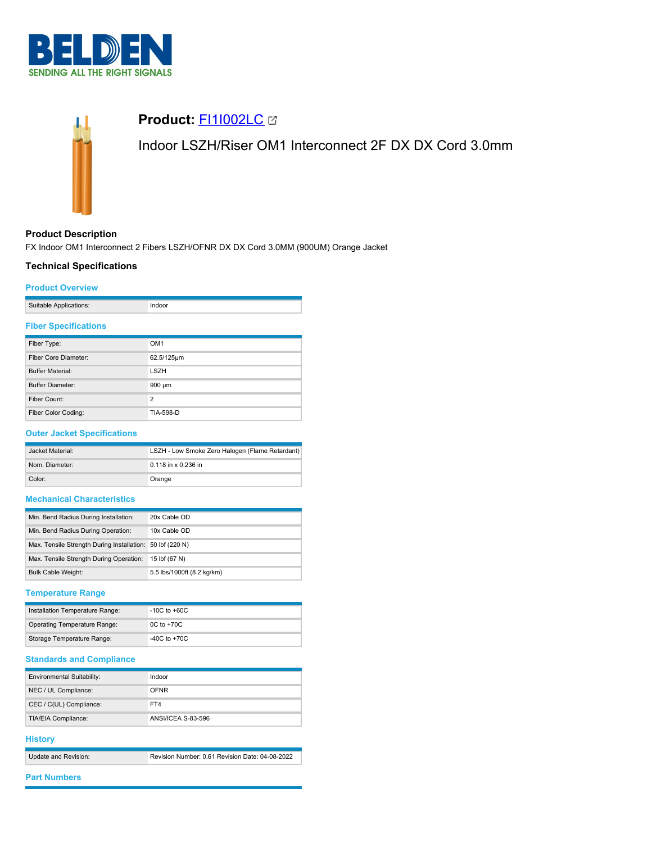



# **Product: [FI1I002LC](https://catalog.belden.com/index.cfm?event=pd&p=PF_FI1I002LC&tab=downloads) 23**

Indoor LSZH/Riser OM1 Interconnect 2F DX DX Cord 3.0mm

### **Product Description**

FX Indoor OM1 Interconnect 2 Fibers LSZH/OFNR DX DX Cord 3.0MM (900UM) Orange Jacket

## **Technical Specifications**

#### **Product Overview**

| Suitable Applications: |  |
|------------------------|--|
|                        |  |

### **Fiber Specifications**

| Fiber Type:             | OM <sub>1</sub> |
|-------------------------|-----------------|
| Fiber Core Diameter:    | 62.5/125µm      |
| <b>Buffer Material:</b> | <b>LSZH</b>     |
| <b>Buffer Diameter:</b> | 900 µm          |
| Fiber Count:            | $\overline{2}$  |
| Fiber Color Coding:     | TIA-598-D       |

## **Outer Jacket Specifications**

| Jacket Material: | LSZH - Low Smoke Zero Halogen (Flame Retardant) |  |
|------------------|-------------------------------------------------|--|
| Nom. Diameter:   | $0.118$ in x 0.236 in                           |  |
| Color:           | Orange                                          |  |

# **Mechanical Characteristics**

| Min. Bend Radius During Installation:                     | 20x Cable OD               |
|-----------------------------------------------------------|----------------------------|
|                                                           |                            |
| Min. Bend Radius During Operation:                        | 10x Cable OD               |
|                                                           |                            |
| Max. Tensile Strength During Installation: 50 lbf (220 N) |                            |
|                                                           |                            |
| Max. Tensile Strength During Operation:                   | 15 lbf (67 N)              |
|                                                           |                            |
| <b>Bulk Cable Weight:</b>                                 | 5.5 lbs/1000ft (8.2 kg/km) |
|                                                           |                            |

### **Temperature Range**

| Installation Temperature Range:     | $-10C$ to $+60C$ |
|-------------------------------------|------------------|
| <b>Operating Temperature Range:</b> | $0C$ to $+70C$   |
| Storage Temperature Range:          | $-40C$ to $+70C$ |

## **Standards and Compliance**

| <b>Environmental Suitability:</b> | Indoor             |
|-----------------------------------|--------------------|
| NEC / UL Compliance:              | OFNR               |
| CEC / C(UL) Compliance:           | FT4                |
| TIA/EIA Compliance:               | ANSI/ICEA S-83-596 |

### **History**

| Update and Revision: | Revision Number: 0.61 Revision Date: 04-08-2022 |
|----------------------|-------------------------------------------------|

#### **Part Numbers**